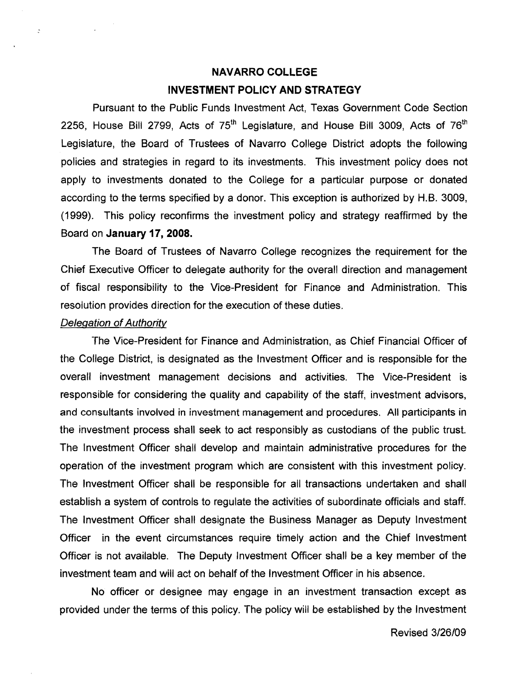# **NAVARRO COLLEGE INVESTMENT POLICY AND STRATEGY**

Pursuant to the Public Funds Investment Act, Texas Government Code Section 2256, House Bill 2799, Acts of  $75<sup>th</sup>$  Legislature, and House Bill 3009, Acts of  $76<sup>th</sup>$ Legislature, the Board of Trustees of Navarro College District adopts the following policies and strategies in regard to its investments. This investment policy does not apply to investments donated to the College for a particular purpose or donated according to the terms specified by a donor. This exception is authorized by H.B. 3009, (1999). This policy reconfirms the investment policy and strategy reaffirmed by the Board on **January 17,** *2008.* 

The Board of Trustees of Navarro College recognizes the requirement for the Chief Executive Officer to delegate authority for the overall direction and management of fiscal responsibility to the Vice-President for Finance and Administration. This resolution provides direction for the execution of these duties.

#### Delegation of Authority

 $\mathbb{R}^2$ 

The Vice-President for Finance and Administration, as Chief Financial Officer of the College District, is designated as the Investment Officer and is responsible for the overall investment management decisions and activities. The Vice-President is responsible for considering the quality and capability of the staff, investment advisors, and consultants involved in investment management and procedures. All participants in the investment process shall seek to act responsibly as custodians of the public trust. The Investment Officer shall develop and maintain administrative procedures for the operation of the investment program which are consistent with this investment policy. The Investment Officer shall be responsible for all transactions undertaken and shall establish a system of controls to regulate the activities of subordinate officials and staff. The Investment Officer shall designate the Business Manager as Deputy Investment Officer in the event circumstances require timely action and the Chief Investment Officer is not available. The Deputy Investment Officer shall be a key member of the investment team and will act on behalf of the Investment Officer in his absence.

No officer or designee may engage in an investment transaction except as provided under the terms of this policy. The policy will be established by the Investment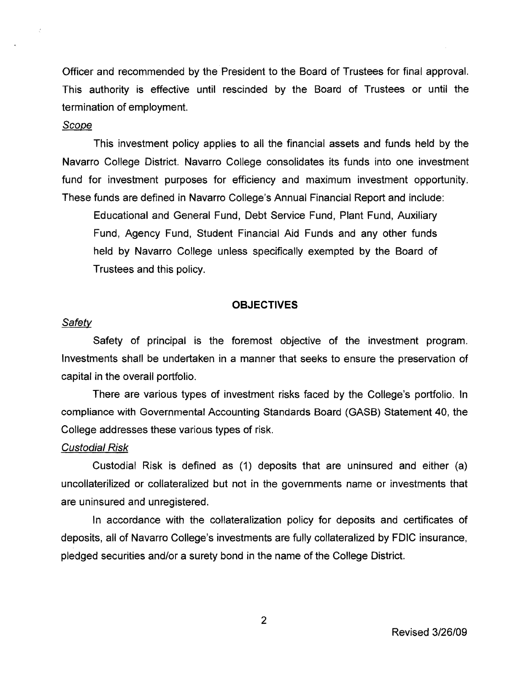Officer and recommended by the President to the Board of Trustees for final approval. This authority is effective until rescinded by the Board of Trustees or until the termination of employment.

# Scope

This investment policy applies to all the financial assets and funds held by the Navarro College District. Navarro College consolidates its funds into one investment fund for investment purposes for efficiency and maximum investment opportunity. These funds are defined in Navarro College's Annual Financial Report and include:

Educational and General Fund, Debt Service Fund, Plant Fund, Auxiliary Fund, Agency Fund, Student Financial Aid Funds and any other funds held by Navarro College unless specifically exempted by the Board of Trustees and this policy.

#### **OBJECTIVES**

#### **Safety**

Safety of principal is the foremost objective of the investment program. Investments shall be undertaken in a manner that seeks to ensure the preservation of capital in the overall portfolio.

There are various types of investment risks faced by the College's portfolio. In compliance with Governmental Accounting Standards Board (GASB) Statement 40, the College addresses these various types of risk.

#### Custodial Risk

Custodial Risk is defined as (1) deposits that are uninsured and either (a) uncollaterilized or collateralized but not in the governments name or investments that are uninsured and unregistered.

In accordance with the collateralization policy for deposits and certificates of deposits, all of Navarro College's investments are fully collateralized by FDIC insurance, pledged securities and/or a surety bond in the name of the College District.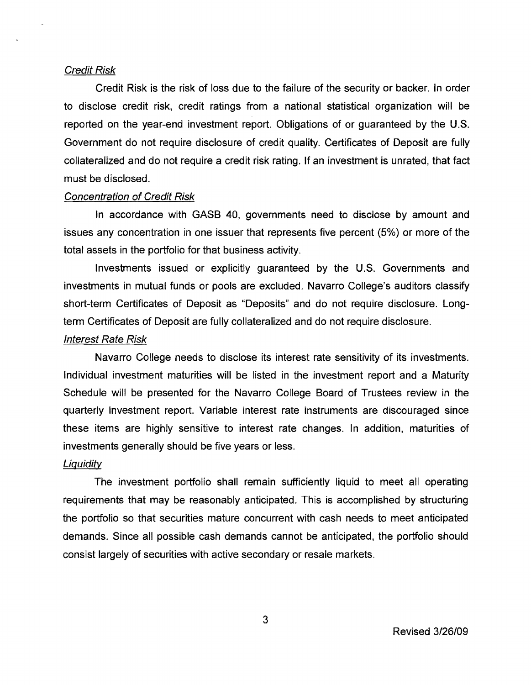#### Credit Risk

Credit Risk is the risk of loss due to the failure of the security or backer. **In** order to disclose credit risk, credit ratings from a national statistical organization will be reported on the year-end investment report. Obligations of or guaranteed by the U.S. Government do not require disclosure of credit quality. Certificates of Deposit are fully collateralized and do not require a credit risk rating. **If** an investment is unrated, that fact must be disclosed.

# Concentration of Credit Risk

In accordance with GASS 40, governments need to disclose by amount and issues any concentration in one issuer that represents five percent (5%) or more of the total assets in the portfolio for that business activity.

Investments issued or explicitly guaranteed by the U.S. Governments and investments in mutual funds or pools are excluded. Navarro College's auditors classify short-term Certificates of Deposit as "Deposits" and do not require disclosure. Longterm Certificates of Deposit are fully collateralized and do not require disclosure.

#### Interest Rate Risk

Navarro College needs to disclose its interest rate sensitivity of its investments. Individual investment maturities will be listed in the investment report and a Maturity Schedule will be presented for the Navarro College Soard of Trustees review in the quarterly investment report. Variable interest rate instruments are discouraged since these items are highly sensitive to interest rate changes. In addition, maturities of investments generally should be five years or less.

#### Liguidity

The investment portfolio shall remain sufficiently liquid to meet all operating requirements that may be reasonably anticipated. This is accomplished by structuring the portfolio so that securities mature concurrent with cash needs to meet anticipated demands. Since all possible cash demands cannot be anticipated, the portfolio should consist largely of securities with active secondary or resale markets.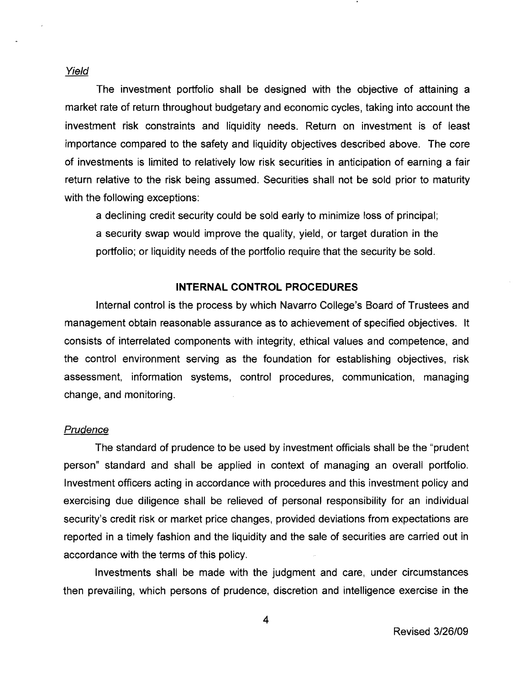Yield

The investment portfolio shall be designed with the objective of attaining a market rate of return throughout budgetary and economic cycles, taking into account the investment risk constraints and liquidity needs. Return on investment is of least importance compared to the safety and liquidity objectives described above. The core of investments is limited to relatively low risk securities in anticipation of earning a fair return relative to the risk being assumed. Securities shall not be sold prior to maturity with the following exceptions:

a declining credit security could be sold early to minimize loss of principal; a security swap would improve the quality, yield, or target duration in the portfolio; or liquidity needs of the portfolio require that the security be sold.

#### **INTERNAL CONTROL PROCEDURES**

Internal control is the process by which Navarro College's Board of Trustees and management obtain reasonable assurance as to achievement of specified objectives. It consists of interrelated components with integrity, ethical values and competence, and the control environment serving as the foundation for establishing objectives, risk assessment, information systems, control procedures, communication, managing change, and monitoring.

# **Prudence**

The standard of prudence to be used by investment officials shall be the "prudent person" standard and shall be applied in context of managing an overall portfolio. Investment officers acting in accordance with procedures and this investment policy and exercising due diligence shall be relieved of personal responsibility for an individual security's credit risk or market price changes, provided deviations from expectations are reported in a timely fashion and the liquidity and the sale of securities are carried out in accordance with the terms of this policy.

Investments shall be made with the judgment and care, under circumstances then prevailing, which persons of prudence, discretion and intelligence exercise in the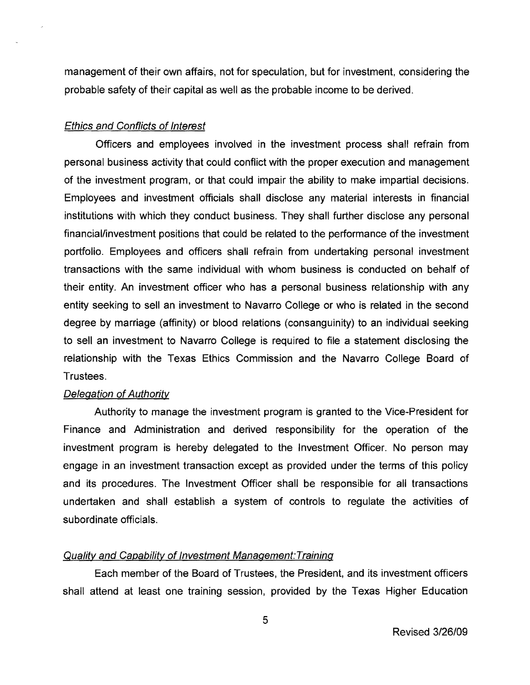management of their own affairs, not for speculation, but for investment, considering the probable safety of their capital as well as the probable income to be derived.

# Ethics and Conflicts of Interest

Officers and employees involved in the investment process shall refrain from personal business activity that could conflict with the proper execution and management of the investment program, or that could impair the ability to make impartial decisions. Employees and investment officials shall disclose any material interests in financial institutions with which they conduct business. They shall further disclose any personal financial/investment positions that could be related to the performance of the investment portfolio. Employees and officers shall refrain from undertaking personal investment transactions with the same individual with whom business is conducted on behalf of their entity. An investment officer who has a personal business relationship with any entity seeking to sell an investment to Navarro College or who is related in the second degree by marriage (affinity) or blood relations (consanguinity) to an individual seeking to sell an investment to Navarro College is required to file a statement disclosing the relationship with the Texas Ethics Commission and the Navarro College Board of Trustees.

# Delegation of Authority

Authority to manage the investment program is granted to the Vice-President for Finance and Administration and derived responsibility for the operation of the investment program is hereby delegated to the Investment Officer. No person may engage in an investment transaction except as provided under the terms of this policy and its procedures. The Investment Officer shall be responsible for all transactions undertaken and shall establish a system of controls to regulate the activities of subordinate officials.

## Quality and Capability of Investment Management: Training

Each member of the Board of Trustees, the President, and its investment officers shall attend at least one training session, provided by the Texas Higher Education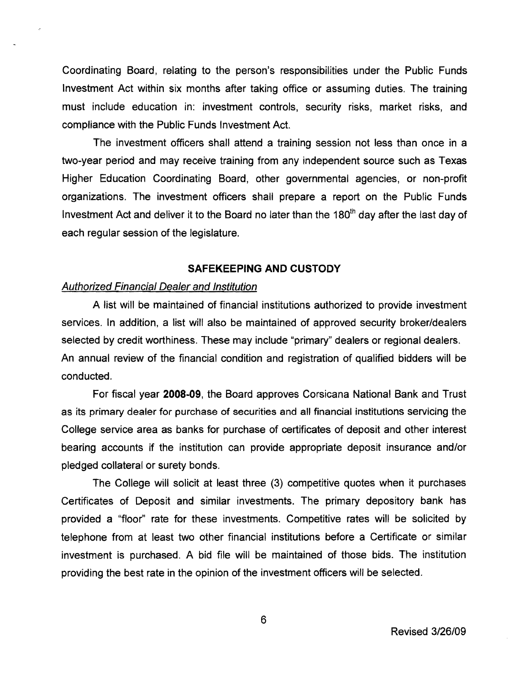Coordinating Board, relating to the person's responsibilities under the Public Funds Investment Act within six months after taking office or assuming duties. The training must include education in: investment controls, security risks, market risks, and compliance with the Public Funds Investment Act.

The investment officers shall attend a training session not less than once in a two-year period and may receive training from any independent source such as Texas Higher Education Coordinating Board, other governmental agencies, or non-profit organizations. The investment officers shall prepare a report on the Public Funds Investment Act and deliver it to the Board no later than the  $180<sup>th</sup>$  day after the last day of each regular session of the legislature.

#### **SAFEKEEPING AND CUSTODY**

#### Authorized Financial Dealer and Institution

A list will be maintained of financial institutions authorized to provide investment services. In addition, a list will also be maintained of approved security broker/dealers selected by credit worthiness. These may include "primary" dealers or regional dealers. An annual review of the financial condition and registration of qualified bidders will be conducted.

For fiscal year 2008-09, the Board approves Corsicana National Bank and Trust as its primary dealer for purchase of securities and all financial institutions servicing the College service area as banks for purchase of certificates of deposit and other interest bearing accounts if the institution can provide appropriate deposit insurance and/or pledged collateral or surety bonds.

The College will solicit at least three (3) competitive quotes when it purchases Certificates of Deposit and similar investments. The primary depository bank has provided a "floor" rate for these investments. Competitive rates will be solicited by telephone from at least two other financial institutions before a Certificate or similar investment is purchased. A bid file will be maintained of those bids. The institution providing the best rate in the opinion of the investment officers will be selected.

6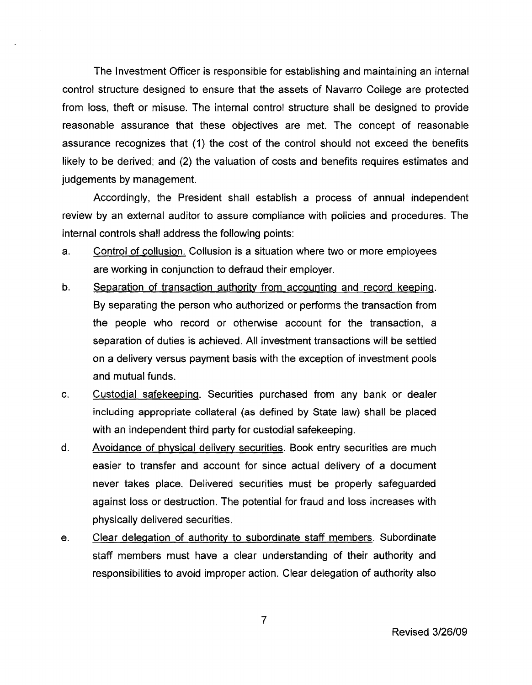The Investment Officer is responsible for establishing and maintaining an internal control structure designed to ensure that the assets of Navarro College are protected from loss, theft or misuse. The internal control structure shall be designed to provide reasonable assurance that these objectives are met. The concept of reasonable assurance recognizes that (1) the cost of the control should not exceed the benefits likely to be derived; and (2) the valuation of costs and benefits requires estimates and judgements by management.

Accordingly, the President shall establish a process of annual independent review by an external auditor to assure compliance with policies and procedures. The internal controls shall address the following points:

- a. Control of collusion. Collusion is a situation where two or more employees are working in conjunction to defraud their employer.
- b. Separation of transaction authority from accounting and record keeping. By separating the person who authorized or performs the transaction from the people who record or otherwise account for the transaction, a separation of duties is achieved. All investment transactions will be settled on a delivery versus payment basis with the exception of investment pools and mutual funds.
- c. Custodial safekeeping. Securities purchased from any bank or dealer including appropriate collateral (as defined by State law) shall be placed with an independent third party for custodial safekeeping.
- d. Avoidance of physical delivery securities. Book entry securities are much easier to transfer and account for since actual delivery of a document never takes place. Delivered securities must be properly safeguarded against loss or destruction. The potential for fraud and loss increases with physically delivered securities.
- e. Clear delegation of authority to subordinate staff members. Subordinate staff members must have a clear understanding of their authority and responsibilities to avoid improper action. Clear delegation of authority also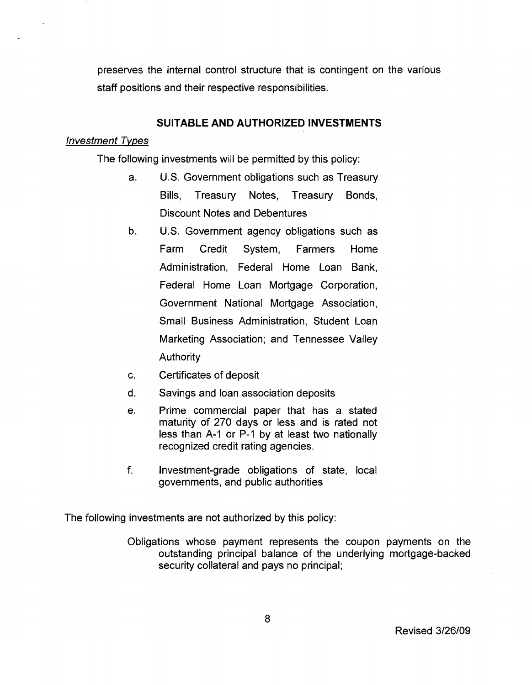preserves the internal control structure that is contingent on the various staff positions and their respective responsibilities.

# **SUITABLE AND AUTHORIZED INVESTMENTS**

#### Investment Tvpes

The following investments will be permitted by this policy:

- a. U.S. Government obligations such as Treasury Bills, Treasury Notes, Treasury Bonds, Discount Notes and Debentures
- b. U.S. Government agency obligations such as Farm Credit System, Farmers Home Administration, Federal Home Loan Bank, Federal Home Loan Mortgage Corporation, Government National Mortgage Association, Small Business Administration, Student Loan Marketing Association; and Tennessee Valley Authority
- c. Certificates of deposit
- d. Savings and loan association deposits
- e. Prime commercial paper that has a stated maturity of 270 days or less and is rated not less than A-1 or P-1 by at least two nationally recognized credit rating agencies.
- f. Investment-grade obligations of state, local governments, and public authorities

The following investments are not authorized by this policy:

Obligations whose payment represents the coupon payments on the outstanding principal balance of the underlying mortgage-backed security collateral and pays no principal;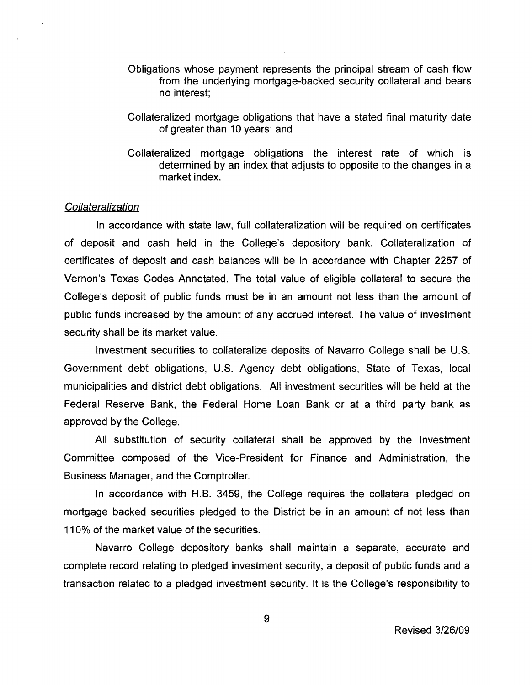- Obligations whose payment represents the principal stream of cash flow from the underlying mortgage-backed security collateral and bears no interest;
- Collateralized mortgage obligations that have a stated final maturity date of greater than 10 years; and
- Collateralized mortgage obligations the interest rate of which is determined by an index that adjusts to opposite to the changes in a market index.

# **Collateralization**

In accordance with state law, full collateralization will be required on certificates of deposit and cash held in the College's depository bank. Collateralization of certificates of deposit and cash balances will be in accordance with Chapter 2257 of Vernon's Texas Codes Annotated. The total value of eligible collateral to secure the College's deposit of public funds must be in an amount not less than the amount of public funds increased by the amount of any accrued interest. The value of investment security shall be its market value.

Investment securities to collateralize deposits of Navarro College shall be U.S. Government debt obligations, U.S. Agency debt obligations, State of Texas, local municipalities and district debt obligations. All investment securities will be held at the Federal Reserve Bank, the Federal Home Loan Bank or at a third party bank as approved by the College.

All substitution of security collateral shall be approved by the Investment Committee composed of the Vice-President for Finance and Administration, the Business Manager, and the Comptroller.

In accordance with H.B. 3459, the College requires the collateral pledged on mortgage backed securities pledged to the District be in an amount of not less than **110%** of the market value of the securities.

Navarro College depository banks shall maintain a separate, accurate and complete record relating to pledged investment security, a deposit of public funds and a transaction related to a pledged investment security. It is the College's responsibility to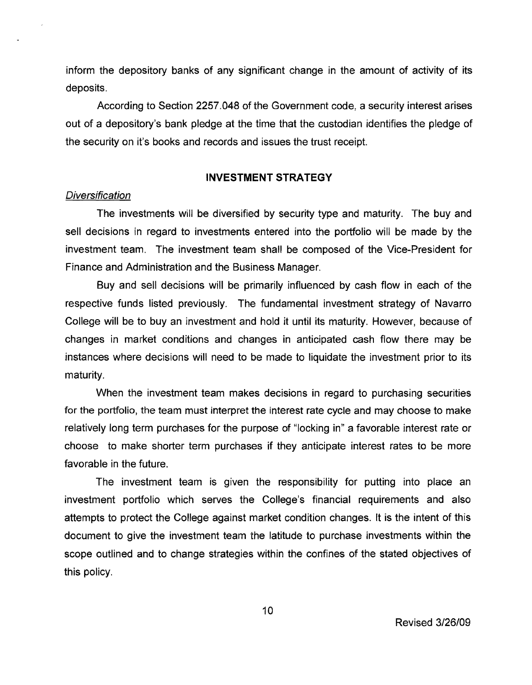inform the depository banks of any significant change in the amount of activity of its deposits.

According to Section 2257.048 of the Government code, a security interest arises out of a depository's bank pledge at the time that the custodian identifies the pledge of the security on it's books and records and issues the trust receipt.

# **INVESTMENT STRATEGY**

#### **Diversification**

The investments will be diversified by security type and maturity. The buy and sell decisions in regard to investments entered into the portfolio will be made by the investment team. The investment team shall be composed of the Vice-President for Finance and Administration and the Business Manager.

Buy and sell decisions will be primarily influenced by cash flow in each of the respective funds listed previously. The fundamental investment strategy of Navarro College will be to buy an investment and hold it until its maturity. However, because of changes in market conditions and changes in anticipated cash flow there may be instances where decisions will need to be made to liquidate the investment prior to its maturity.

When the investment team makes decisions in regard to purchasing securities for the portfolio, the team must interpret the interest rate cycle and may choose to make relatively long term purchases for the purpose of "locking in" a favorable interest rate or choose to make shorter term purchases if they anticipate interest rates to be more favorable in the future.

The investment team is given the responsibility for putting into place an investment portfolio which serves the College's financial requirements and also attempts to protect the College against market condition changes. It is the intent of this document to give the investment team the latitude to purchase investments within the scope outlined and to change strategies within the confines of the stated objectives of this policy.

10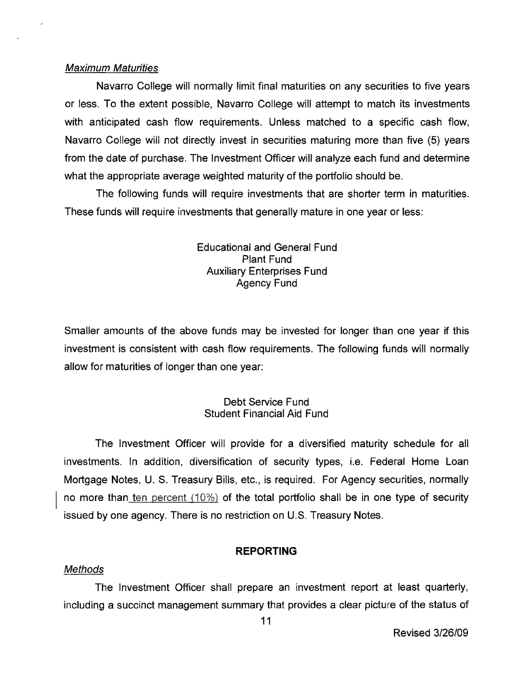#### Maximum Maturities

Navarro College will normally limit final maturities on any securities to five years or less. To the extent possible, Navarro College will attempt to match its investments with anticipated cash flow requirements. Unless matched to a specific cash flow, Navarro College will not directly invest in securities maturing more than 'five (5) years from the date of purchase. The Investment Officer will analyze each fund and determine what the appropriate average weighted maturity of the portfolio should be.

The following funds will require investments that are shorter term in maturities. These funds will require investments that generally mature in one year or less:

> Educational and General Fund Plant Fund Auxiliary Enterprises Fund Agency Fund

Smaller amounts of the above funds may be invested for longer than one year if this investment is consistent with cash flow requirements. The following funds will normally allow for maturities of longer than one year:

# Debt Service Fund Student Financial Aid Fund

The Investment Officer will provide for a diversified maturity schedule for all investments. In addition, diversification of security types, i.e. Federal Home Loan Mortgage Notes, U. S. Treasury Bills, etc., is required. For Agency securities, normally no more than ten percent (10%) of the total portfolio shall be in one type of security issued by one agency. There is no restriction on U.S. Treasury Notes.

# **REPORTING**

#### Methods

The Investment Officer shall prepare an investment report at least quarterly, including a succinct management summary that provides a clear picture of the status of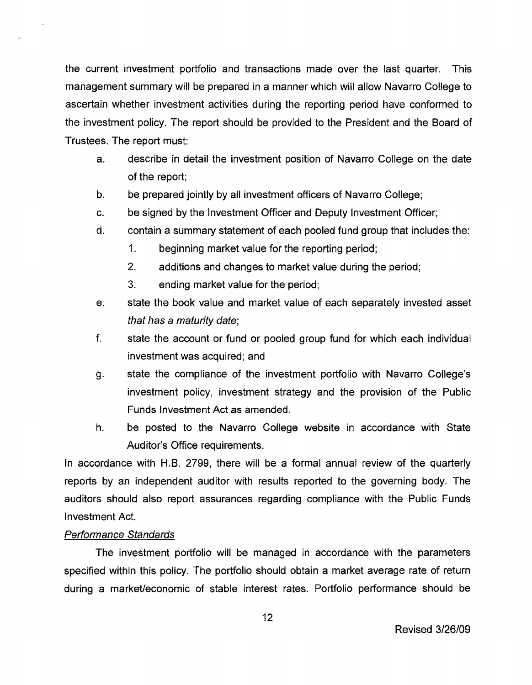the current investment portfolio and transactions made over the last quarter. This management summary will be prepared in a manner which will allow Navarro College to ascertain whether investment activities during the reporting period have conformed to the investment policy. The report should be provided to the President and the Board of Trustees. The report must:

- a. describe in detail the investment position of Navarro College on the date of the report;
- b. be prepared jointly by all investment officers of Navarro College;
- c. be signed by the Investment Officer and Deputy Investment Officer;
- d. contain a summary statement of each pooled fund group that includes the:
	- 1. beginning market value for the reporting period;
	- 2. additions and changes to market value during the period;
	- 3. ending market value for the period;
- e. state the book value and market value of each separately invested asset that has a maturity date;
- f. state the account or fund or pooled group fund for which each individual investment was acquired; and
- g. state the compliance of the investment portfolio with Navarro College's investment policy, investment strategy and the provision of the Public Funds Investment Act as amended.
- h. be posted to the Navarro College website in accordance with State Auditor's Office requirements.

In accordance with H.B. 2799, there will be a formal annual review of the quarterly reports by an independent auditor with results reported to the governing body. The auditors should also report assurances regarding compliance with the Public Funds Investment Act.

# Performance Standards

The investment portfolio will be managed in accordance with the parameters specified within this policy. The portfolio should obtain a market average rate of return during a market/economic of stable interest rates. Portfolio performance should be